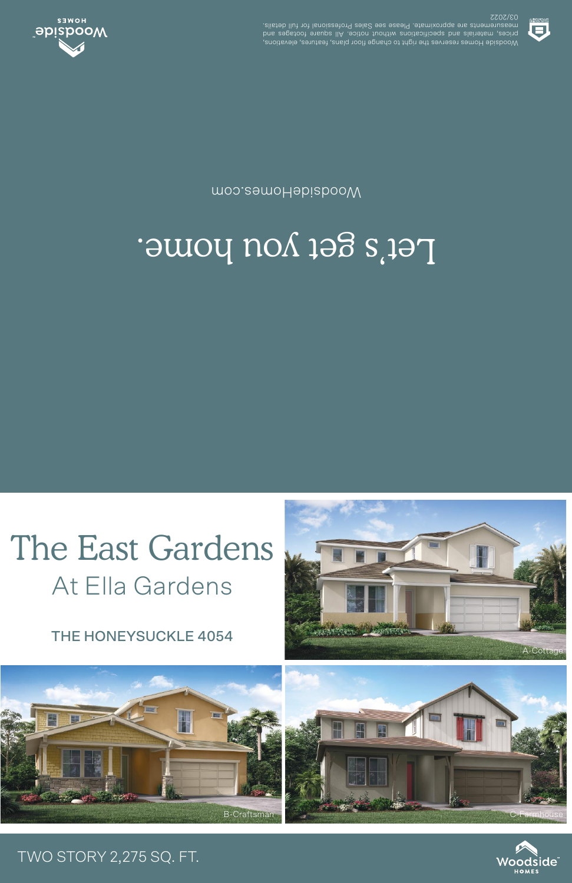THE HONEYSUCKLE 4054

At Ella Gardens



## Let's get you home.

moo.eemoHabizbooW



03/2022 .elisteb llut tot lanoiszetot9 sels2 ees essel9 .etamixotqqs ets stnemetussem voodside lomes reserves the right of the profile and evides elevations, experience and the response in the res<br>prices, materials and specifications mother holds in the footspace and



## TWO STORY 2,275 SQ. FT.